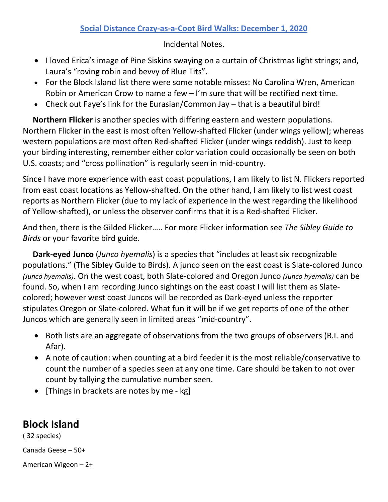## **Social Distance Crazy-as-a-Coot Bird Walks: December 1, 2020**

Incidental Notes.

- I loved Erica's image of Pine Siskins swaying on a curtain of Christmas light strings; and, Laura's "roving robin and bevvy of Blue Tits".
- For the Block Island list there were some notable misses: No Carolina Wren, American Robin or American Crow to name a few – I'm sure that will be rectified next time.
- Check out Faye's link for the Eurasian/Common Jay that is a beautiful bird!

 **Northern Flicker** is another species with differing eastern and western populations. Northern Flicker in the east is most often Yellow-shafted Flicker (under wings yellow); whereas western populations are most often Red-shafted Flicker (under wings reddish). Just to keep your birding interesting, remember either color variation could occasionally be seen on both U.S. coasts; and "cross pollination" is regularly seen in mid-country.

Since I have more experience with east coast populations, I am likely to list N. Flickers reported from east coast locations as Yellow-shafted. On the other hand, I am likely to list west coast reports as Northern Flicker (due to my lack of experience in the west regarding the likelihood of Yellow-shafted), or unless the observer confirms that it is a Red-shafted Flicker.

And then, there is the Gilded Flicker….. For more Flicker information see *The Sibley Guide to Birds* or your favorite bird guide.

 **Dark-eyed Junco** (*Junco hyemalis*) is a species that "includes at least six recognizable populations." (The Sibley Guide to Birds). A junco seen on the east coast is Slate-colored Junco *(Junco hyemalis)*. On the west coast, both Slate-colored and Oregon Junco *(Junco hyemalis)* can be found. So, when I am recording Junco sightings on the east coast I will list them as Slatecolored; however west coast Juncos will be recorded as Dark-eyed unless the reporter stipulates Oregon or Slate-colored. What fun it will be if we get reports of one of the other Juncos which are generally seen in limited areas "mid-country".

- Both lists are an aggregate of observations from the two groups of observers (B.I. and Afar).
- A note of caution: when counting at a bird feeder it is the most reliable/conservative to count the number of a species seen at any one time. Care should be taken to not over count by tallying the cumulative number seen.
- [Things in brackets are notes by me kg]

## **Block Island**

( 32 species)

Canada Geese – 50+

American Wigeon – 2+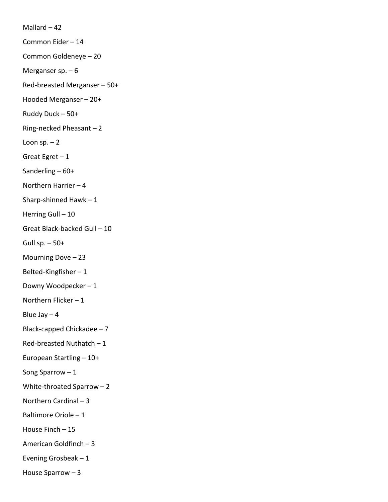Mallard – 42 Common Eider – 14 Common Goldeneye – 20 Merganser sp. – 6 Red-breasted Merganser – 50+ Hooded Merganser – 20+ Ruddy Duck – 50+ Ring-necked Pheasant – 2 Loon  $sp. - 2$ Great Egret  $-1$ Sanderling – 60+ Northern Harrier – 4 Sharp-shinned Hawk – 1 Herring Gull - 10 Great Black-backed Gull – 10 Gull sp.  $-50+$ Mourning Dove – 23 Belted-Kingfisher – 1 Downy Woodpecker – 1 Northern Flicker – 1 Blue Jay  $-4$ Black-capped Chickadee – 7 Red-breasted Nuthatch – 1 European Startling – 10+ Song Sparrow – 1 White-throated Sparrow – 2 Northern Cardinal – 3 Baltimore Oriole – 1 House Finch – 15 American Goldfinch – 3 Evening Grosbeak – 1 House Sparrow – 3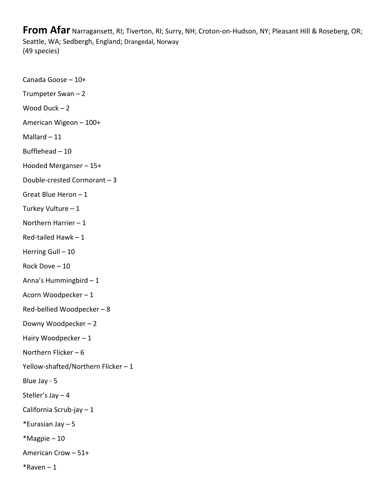**From Afar** Narragansett, RI; Tiverton, RI; Surry, NH; Croton-on-Hudson, NY; Pleasant Hill & Roseberg, OR; Seattle, WA; Sedbergh, England; Drangedal, Norway (49 species)

Canada Goose – 10+ Trumpeter Swan – 2 Wood Duck – 2 American Wigeon – 100+ Mallard – 11 Bufflehead – 10 Hooded Merganser – 15+ Double-crested Cormorant – 3 Great Blue Heron – 1 Turkey Vulture – 1 Northern Harrier – 1 Red-tailed Hawk – 1 Herring Gull - 10 Rock Dove – 10 Anna's Hummingbird – 1 Acorn Woodpecker – 1 Red-bellied Woodpecker – 8 Downy Woodpecker – 2 Hairy Woodpecker – 1 Northern Flicker – 6 Yellow-shafted/Northern Flicker – 1 Blue Jay - 5 Steller's Jay – 4 California Scrub-jay – 1 \*Eurasian Jay – 5 \*Magpie – 10 American Crow – 51+  $*$ Raven – 1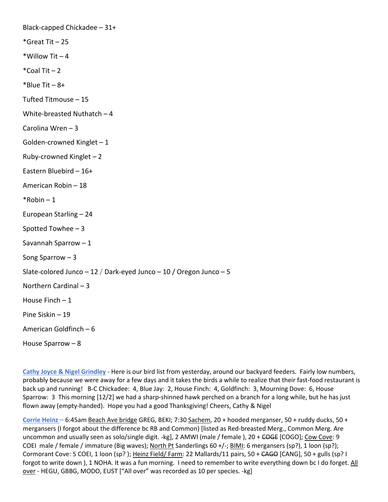Black-capped Chickadee – 31+ \*Great Tit – 25 \*Willow Tit  $-4$  $*$ Coal Tit  $-2$  $*$ Blue Tit – 8+ Tufted Titmouse – 15 White-breasted Nuthatch – 4 Carolina Wren – 3 Golden-crowned Kinglet – 1 Ruby-crowned Kinglet – 2 Eastern Bluebird – 16+ American Robin – 18  $*$ Robin – 1 European Starling – 24 Spotted Towhee – 3 Savannah Sparrow – 1 Song Sparrow – 3 Slate-colored Junco  $-12$  / Dark-eyed Junco  $-10$  / Oregon Junco  $-5$ Northern Cardinal – 3 House Finch  $-1$ Pine Siskin – 19 American Goldfinch – 6 House Sparrow – 8

**Cathy Joyce & Nigel Grindley -** Here is our bird list from yesterday, around our backyard feeders. Fairly low numbers, probably because we were away for a few days and it takes the birds a while to realize that their fast-food restaurant is back up and running! B-C Chickadee: 4, Blue Jay: 2, House Finch: 4, Goldfinch: 3, Mourning Dove: 6, House Sparrow: 3 This morning [12/2] we had a sharp-shinned hawk perched on a branch for a long while, but he has just flown away (empty-handed). Hope you had a good Thanksgiving! Cheers, Cathy & Nigel

**Corrie Heinz** – 6:45am Beach Ave bridge GREG, BEKI; 7:30 Sachem, 20 + hooded merganser, 50 + ruddy ducks, 50 + mergansers (I forgot about the difference bc RB and Common) [listed as Red-breasted Merg., Common Merg. Are uncommon and usually seen as solo/single digit. -kg], 2 AMWI (male / female ), 20 + COGE [COGO]; Cow Cove: 9 COEI male / female / immature (Big waves); North Pt Sanderlings 60 +/-; BIMI: 6 mergansers (sp?), 1 loon (sp?); Cormorant Cove: 5 COEI, 1 loon (sp? ); Heinz Field/ Farm: 22 Mallards/11 pairs, 50 + CAGO [CANG], 50 + gulls (sp? I forgot to write down), 1 NOHA. It was a fun morning. I need to remember to write everything down bc I do forget. All over - HEGU, GBBG, MODO, EUST ["All over" was recorded as 10 per species. -kg]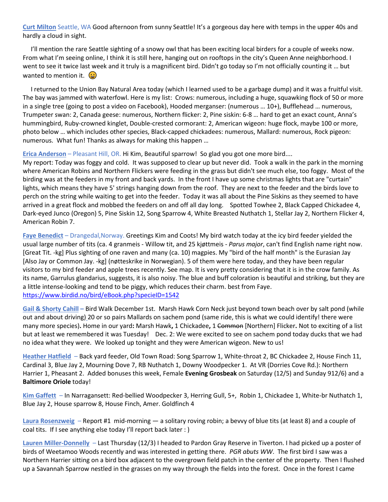**Curt Milton** Seattle, WA Good afternoon from sunny Seattle! It's a gorgeous day here with temps in the upper 40s and hardly a cloud in sight.

 I'll mention the rare Seattle sighting of a snowy owl that has been exciting local birders for a couple of weeks now. From what I'm seeing online, I think it is still here, hanging out on rooftops in the city's Queen Anne neighborhood. I went to see it twice last week and it truly is a magnificent bird. Didn't go today so I'm not officially counting it … but wanted to mention it.  $\left(\frac{L}{L}\right)$ 

 I returned to the Union Bay Natural Area today (which I learned used to be a garbage dump) and it was a fruitful visit. The bay was jammed with waterfowl. Here is my list: Crows: numerous, including a huge, squawking flock of 50 or more in a single tree (going to post a video on Facebook), Hooded merganser: (numerous … 10+), Bufflehead … numerous, Trumpeter swan: 2, Canada geese: numerous, Northern flicker: 2, Pine siskin: 6-8 … hard to get an exact count, Anna's hummingbird, Ruby-crowned kinglet, Double-crested cormorant: 2, American wigeon: huge flock, maybe 100 or more, photo below … which includes other species, Black-capped chickadees: numerous, Mallard: numerous, Rock pigeon: numerous. What fun! Thanks as always for making this happen …

**Erica Anderson** – Pleasant Hill, OR. Hi Kim, Beautiful sparrow! So glad you got one more bird....

My report: Today was foggy and cold. It was supposed to clear up but never did. Took a walk in the park in the morning where American Robins and Northern Flickers were feeding in the grass but didn't see much else, too foggy. Most of the birding was at the feeders in my front and back yards. In the front I have up some christmas lights that are "curtain" lights, which means they have 5' strings hanging down from the roof. They are next to the feeder and the birds love to perch on the string while waiting to get into the feeder. Today it was all about the Pine Siskins as they seemed to have arrived in a great flock and mobbed the feeders on and off all day long. Spotted Towhee 2, Black Capped Chickadee 4, Dark-eyed Junco (Oregon) 5, Pine Siskin 12, Song Sparrow 4, White Breasted Nuthatch 1, Stellar Jay 2, Northern Flicker 4, American Robin 7.

**Faye Benedict** – Drangedal,Norway. Greetings Kim and Coots! My bird watch today at the icy bird feeder yielded the usual large number of tits (ca. 4 granmeis - Willow tit, and 25 kjøttmeis - *Parus major*, can't find English name right now. [Great Tit. -kg] Plus sighting of one raven and many (ca. 10) magpies. My "bird of the half month" is the Eurasian Jay [Also Jay or Common Jay. -kg] (nøtteskrike in Norwegian). 5 of them were here today, and they have been regular visitors to my bird feeder and apple trees recently. See map. It is very pretty considering that it is in the crow family. As its name, Garrulus glandarius, suggests, it is also noisy. The blue and buff coloration is beautiful and striking, but they are a little intense-looking and tend to be piggy, which reduces their charm. best from Faye. <https://www.birdid.no/bird/eBook.php?specieID=1542>

**Gail & Shorty Cahill –** Bird Walk December 1st. Marsh Hawk Corn Neck just beyond town beach over by salt pond (while out and about driving) 20 or so pairs Mallards on sachem pond (same ride, this is what we could identify! there were many more species)**.** Home in our yard**:** Marsh Hawk**,** 1 Chickadee**,** 1 Common [Northern] Flicker**.** Not to exciting of a list but at least we remembered it was Tuesday! Dec. 2: We were excited to see on sachem pond today ducks that we had no idea what they were. We looked up tonight and they were American wigeon. New to us!

**Heather Hatfield** – Back yard feeder, Old Town Road: Song Sparrow 1, White-throat 2, BC Chickadee 2, House Finch 11, Cardinal 3, Blue Jay 2, Mourning Dove 7, RB Nuthatch 1, Downy Woodpecker 1. At VR (Dorries Cove Rd.): Northern Harrier 1, Pheasant 2. Added bonuses this week, Female **Evening Grosbeak** on Saturday (12/5) and Sunday 912/6) and a **Baltimore Oriole** today!

**Kim Gaffett** – In Narragansett: Red-bellied Woodpecker 3, Herring Gull, 5+, Robin 1, Chickadee 1, White-br Nuthatch 1, Blue Jay 2, House sparrow 8, House Finch, Amer. Goldfinch 4

**Laura Rosenzweig** – Report #1 mid-morning — a solitary roving robin; a bevvy of blue tits (at least 8) and a couple of coal tits. If I see anything else today I'll report back later : )

**Lauren Miller-Donnelly** – Last Thursday (12/3) I headed to Pardon Gray Reserve in Tiverton. I had picked up a poster of birds of Weetamoo Woods recently and was interested in getting there. *PGR abuts WW*. The first bird I saw was a Northern Harrier sitting on a bird box adjacent to the overgrown field patch in the center of the property. Then I flushed up a Savannah Sparrow nestled in the grasses on my way through the fields into the forest. Once in the forest I came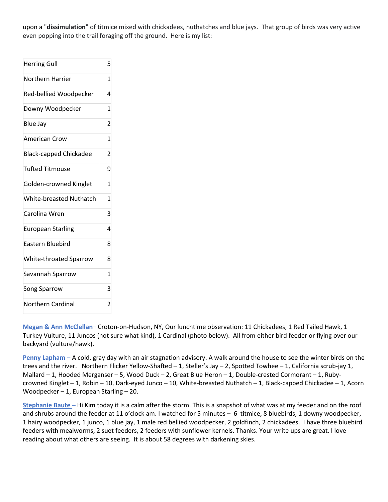upon a "**dissimulation**" of titmice mixed with chickadees, nuthatches and blue jays. That group of birds was very active even popping into the trail foraging off the ground. Here is my list:

| <b>Herring Gull</b>            | 5              |
|--------------------------------|----------------|
| Northern Harrier               | 1              |
| Red-bellied Woodpecker         | 4              |
| Downy Woodpecker               | $\mathbf{1}$   |
| Blue Jay                       | 2              |
| <b>American Crow</b>           | 1              |
| <b>Black-capped Chickadee</b>  | $\overline{2}$ |
| <b>Tufted Titmouse</b>         | 9              |
| Golden-crowned Kinglet         | 1              |
| <b>White-breasted Nuthatch</b> | 1              |
| Carolina Wren                  | 3              |
| <b>European Starling</b>       | 4              |
| <b>Eastern Bluebird</b>        | 8              |
| White-throated Sparrow         | 8              |
| Savannah Sparrow               | 1              |
| <b>Song Sparrow</b>            | 3              |
| Northern Cardinal              | $\overline{2}$ |

**Megan & Ann McClellan**– Croton-on-Hudson, NY, Our lunchtime observation: 11 Chickadees, 1 Red Tailed Hawk, 1 Turkey Vulture, 11 Juncos (not sure what kind), 1 Cardinal (photo below). All from either bird feeder or flying over our backyard (vulture/hawk).

**Penny Lapham** – A cold, gray day with an air stagnation advisory. A walk around the house to see the winter birds on the trees and the river. Northern Flicker Yellow-Shafted – 1, Steller's Jay – 2, Spotted Towhee – 1, California scrub-jay 1, Mallard – 1, Hooded Merganser – 5, Wood Duck – 2, Great Blue Heron – 1, Double-crested Cormorant – 1, Rubycrowned Kinglet – 1, Robin – 10, Dark-eyed Junco – 10, White-breasted Nuthatch – 1, Black-capped Chickadee – 1, Acorn Woodpecker – 1, European Starling – 20.

**Stephanie Baute** – Hi Kim today it is a calm after the storm. This is a snapshot of what was at my feeder and on the roof and shrubs around the feeder at 11 o'clock am. I watched for 5 minutes – 6 titmice, 8 bluebirds, 1 downy woodpecker, 1 hairy woodpecker, 1 junco, 1 blue jay, 1 male red bellied woodpecker, 2 goldfinch, 2 chickadees. I have three bluebird feeders with mealworms, 2 suet feeders, 2 feeders with sunflower kernels. Thanks. Your write ups are great. I love reading about what others are seeing. It is about 58 degrees with darkening skies.